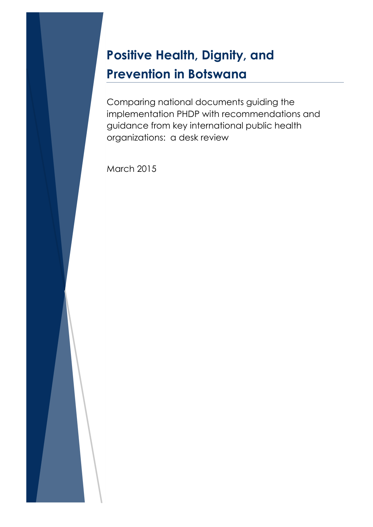# **Positive Health, Dignity, and Prevention in Botswana**

Comparing national documents guiding the implementation PHDP with recommendations and guidance from key international public health organizations: a desk review

March 2015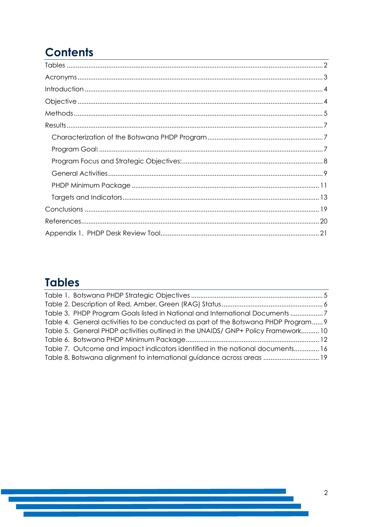## **Contents**

## <span id="page-1-0"></span>**Tables**

| Table 3. PHDP Program Goals listed in National and International Documents 7       |
|------------------------------------------------------------------------------------|
| Table 4. General activities to be conducted as part of the Botswana PHDP Program 9 |
| Table 5. General PHDP activities outlined in the UNAIDS/ GNP+ Policy Framework10   |
|                                                                                    |
| Table 7. Outcome and impact indicators identified in the national documents16      |
| Table 8. Botswana alignment to international guidance across areas  19             |
|                                                                                    |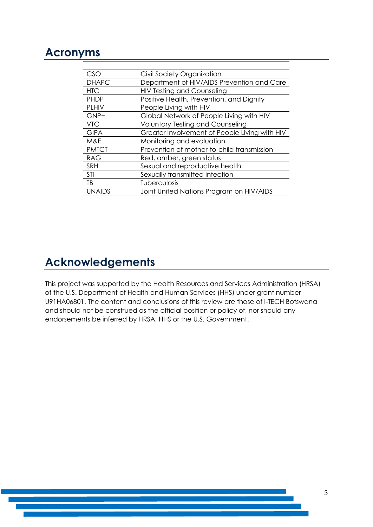### <span id="page-2-0"></span>**Acronyms**

| CSO           | Civil Society Organization                    |
|---------------|-----------------------------------------------|
| <b>DHAPC</b>  | Department of HIV/AIDS Prevention and Care    |
| <b>HTC</b>    | <b>HIV Testing and Counseling</b>             |
| <b>PHDP</b>   | Positive Health, Prevention, and Dignity      |
| <b>PLHIV</b>  | People Living with HIV                        |
| GNP+          | Global Network of People Living with HIV      |
| <b>VTC</b>    | <b>Voluntary Testing and Counseling</b>       |
| <b>GIPA</b>   | Greater Involvement of People Living with HIV |
| M&E           | Monitoring and evaluation                     |
| <b>PMTCT</b>  | Prevention of mother-to-child transmission    |
| <b>RAG</b>    | Red, amber, green status                      |
| <b>SRH</b>    | Sexual and reproductive health                |
| <b>STI</b>    | Sexually transmitted infection                |
| TB            | Tuberculosis                                  |
| <b>UNAIDS</b> | Joint United Nations Program on HIV/AIDS      |

## **Acknowledgements**

This project was supported by the Health Resources and Services Administration (HRSA) of the U.S. Department of Health and Human Services (HHS) under grant number U91HA06801. The content and conclusions of this review are those of I-TECH Botswana and should not be construed as the official position or policy of, nor should any endorsements be inferred by HRSA, HHS or the U.S. Government.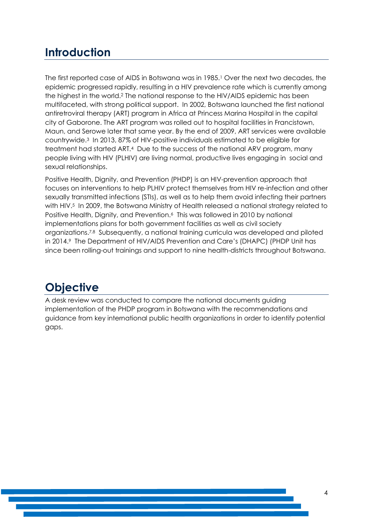## <span id="page-3-0"></span>**Introduction**

The first reported case of AIDS in Botswana was in 1985.<sup>1</sup> Over the next two decades, the epidemic progressed rapidly, resulting in a HIV prevalence rate which is currently among the highest in the world.<sup>2</sup> The national response to the HIV/AIDS epidemic has been multifaceted, with strong political support. In 2002, Botswana launched the first national antiretroviral therapy (ART) program in Africa at Princess Marina Hospital in the capital city of Gaborone. The ART program was rolled out to hospital facilities in Francistown, Maun, and Serowe later that same year. By the end of 2009, ART services were available countrywide. <sup>3</sup> In 2013, 87% of HIV-positive individuals estimated to be eligible for treatment had started ART.<sup>4</sup> Due to the success of the national ARV program, many people living with HIV (PLHIV) are living normal, productive lives engaging in social and sexual relationships.

Positive Health, Dignity, and Prevention (PHDP) is an HIV-prevention approach that focuses on interventions to help PLHIV protect themselves from HIV re-infection and other sexually transmitted infections (STIs), as well as to help them avoid infecting their partners with HIV. <sup>5</sup> In 2009, the Botswana Ministry of Health released a national strategy related to Positive Health, Dignity, and Prevention.6 This was followed in 2010 by national implementations plans for both government facilities as well as civil society organizations.7,8 Subsequently, a national training curricula was developed and piloted in 2014.<sup>9</sup> The Department of HIV/AIDS Prevention and Care's (DHAPC) (PHDP Unit has since been rolling-out trainings and support to nine health-districts throughout Botswana.

## <span id="page-3-1"></span>**Objective**

A desk review was conducted to compare the national documents guiding implementation of the PHDP program in Botswana with the recommendations and guidance from key international public health organizations in order to identify potential gaps.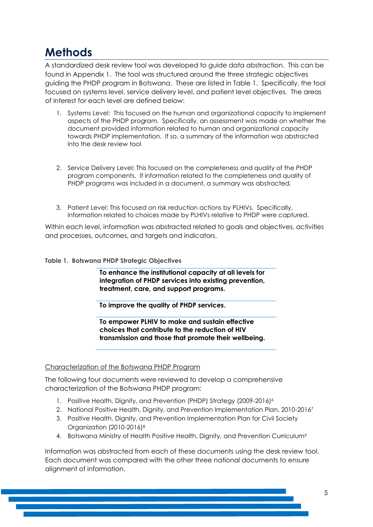## <span id="page-4-0"></span>**Methods**

A standardized desk review tool was developed to guide data abstraction. This can be found in [Appendix 1.](#page-20-0) The tool was structured around the three strategic objectives guiding the PHDP program in Botswana. These are listed in [Table 1.](#page-4-1) Specifically, the tool focused on systems level, service delivery level, and patient level objectives. The areas of interest for each level are defined below:

- 1. Systems Level: This focused on the human and organizational capacity to implement aspects of the PHDP program. Specifically, an assessment was made on whether the document provided information related to human and organizational capacity towards PHDP implementation. If so, a summary of the information was abstracted into the desk review tool
- 2. Service Delivery Level: This focused on the completeness and quality of the PHDP program components. If information related to the completeness and quality of PHDP programs was included in a document, a summary was abstracted.
- 3. Patient Level: This focused on risk reduction actions by PLHIVs. Specifically, information related to choices made by PLHIVs relative to PHDP were captured.

Within each level, information was abstracted related to goals and objectives, activities and processes, outcomes, and targets and indicators.

#### <span id="page-4-1"></span>**Table 1. Botswana PHDP Strategic Objectives**

**To enhance the institutional capacity at all levels for integration of PHDP services into existing prevention, treatment, care, and support programs.**

**To improve the quality of PHDP services.**

**To empower PLHIV to make and sustain effective choices that contribute to the reduction of HIV transmission and those that promote their wellbeing.** 

#### Characterization of the Botswana PHDP Program

The following four documents were reviewed to develop a comprehensive characterization of the Botswana PHDP program:

- 1. Positive Health, Dignity, and Prevention (PHDP) Strategy (2009-2016)<sup>6</sup>
- 2. National Positive Health, Dignity, and Prevention Implementation Plan, 2010-2016<sup>7</sup>
- 3. Positive Health, Dignity, and Prevention Implementation Plan for Civil Society Organization (2010-2016)<sup>8</sup>
- 4. Botswana Ministry of Health Positive Health, Dignity, and Prevention Curriculum<sup>9</sup>

Information was abstracted from each of these documents using the desk review tool. Each document was compared with the other three national documents to ensure alignment of information.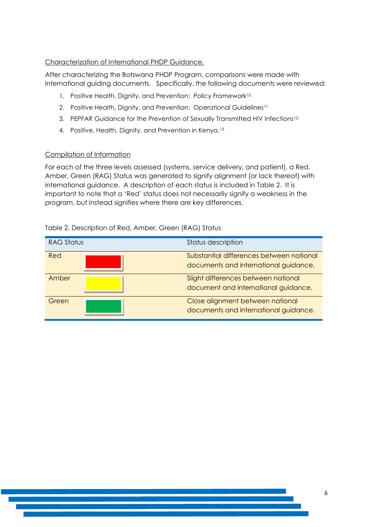#### Characterization of International PHDP Guidance.

After characterizing the Botswana PHDP Program, comparisons were made with international guiding documents. Specifically, the following documents were reviewed:

- 1. Positive Health, Dignity, and Prevention: Policy Framework<sup>10</sup>
- 2. Positive Health, Dignity, and Prevention: Operational Guidelines<sup>11</sup>
- 3. PEPFAR Guidance for the Prevention of Sexually Transmitted HIV Infections<sup>12</sup>
- 4. Positive, Health, Dignity, and Prevention in Kenya.<sup>13</sup>

#### Compilation of Information

For each of the three levels assessed (systems, service delivery, and patient), a Red, Amber, Green (RAG) Status was generated to signify alignment (or lack thereof) with international guidance. A description of each status is included in [Table 2.](#page-5-0) It is important to note that a 'Red' status does not necessarily signify a weakness in the program, but instead signifies where there are key differences.

| <b>RAG Status</b> | Status description                                                                |
|-------------------|-----------------------------------------------------------------------------------|
| Red               | Substantial differences between national<br>documents and international guidance. |
| Amber             | Slight differences between national<br>document and international guidance.       |
| Green             | Close alignment between national<br>documents and international guidance.         |

#### <span id="page-5-0"></span>Table 2. Description of Red, Amber, Green (RAG) Status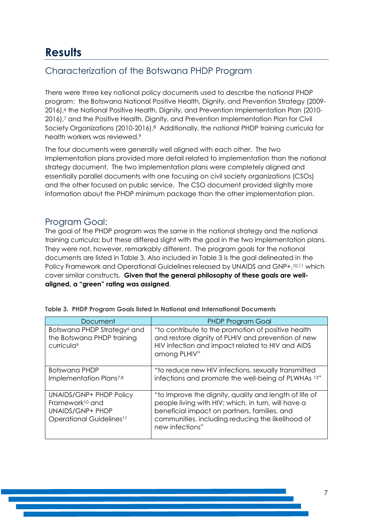## <span id="page-6-0"></span>**Results**

### <span id="page-6-1"></span>Characterization of the Botswana PHDP Program

There were three key national policy documents used to describe the national PHDP program: the Botswana National Positive Health, Dignity, and Prevention Strategy (2009- 2016), <sup>6</sup> the National Positive Health, Dignity, and Prevention Implementation Plan (2010- 2016),<sup>7</sup> and the Positive Health, Dignity, and Prevention Implementation Plan for Civil Society Organizations (2010-2016).8 Additionally, the national PHDP training curricula for health workers was reviewed.<sup>9</sup>

The four documents were generally well aligned with each other. The two Implementation plans provided more detail related to implementation than the national strategy document. The two Implementation plans were completely aligned and essentially parallel documents with one focusing on civil society organizations (CSOs) and the other focused on public service. The CSO document provided slightly more information about the PHDP minimum package than the other implementation plan.

### <span id="page-6-2"></span>Program Goal:

The goal of the PHDP program was the same in the national strategy and the national training curricula; but these differed slight with the goal in the two implementation plans. They were not, however, remarkably different. The program goals for the national documents are listed in [Table 3.](#page-6-3) Also included in [Table 3](#page-6-3) is the goal delineated in the Policy Framework and Operational Guidelines released by UNAIDS and GNP+,10,11 which cover similar constructs. **Given that the general philosophy of these goals are wellaligned, a "green" rating was assigned**.

| Document                                                                                                                         | <b>PHDP Program Goal</b>                                                                                                                                                                                                              |
|----------------------------------------------------------------------------------------------------------------------------------|---------------------------------------------------------------------------------------------------------------------------------------------------------------------------------------------------------------------------------------|
| Botswana PHDP Strategy <sup>6</sup> and<br>the Botswana PHDP training<br>curricula <sup>9</sup>                                  | "to contribute to the promotion of positive health<br>and restore dignity of PLHIV and prevention of new<br>HIV infection and impact related to HIV and AIDS<br>among PLHIV"                                                          |
| Botswana PHDP<br>Implementation Plans <sup>7,8</sup>                                                                             | "to reduce new HIV infections, sexually transmitted<br>infections and promote the well-being of PLWHAs 13"                                                                                                                            |
| <b>UNAIDS/GNP+ PHDP Policy</b><br>Framework <sup>10</sup> and<br><b>UNAIDS/GNP+ PHDP</b><br>Operational Guidelines <sup>11</sup> | "to improve the dignity, quality and length of life of<br>people living with HIV; which, in turn, will have a<br>beneficial impact on partners, families, and<br>communities, including reducing the likelihood of<br>new infections" |

<span id="page-6-3"></span>

| Table 3.  PHDP Program Goals listed in National and International Documents |  |  |
|-----------------------------------------------------------------------------|--|--|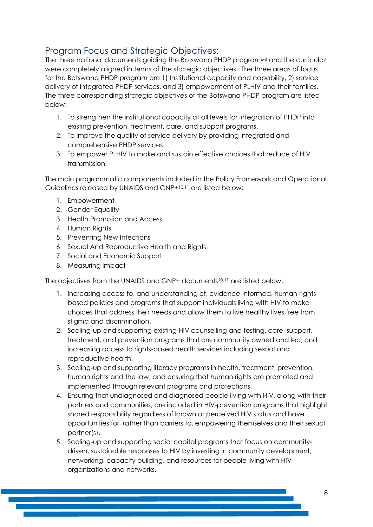### <span id="page-7-0"></span>Program Focus and Strategic Objectives:

The three national documents quiding the Botswana PHDP program $6-8$  and the curricula? were completely aligned in terms of the strategic objectives. The three areas of focus for the Botswana PHDP program are 1) Institutional capacity and capability, 2) service delivery of integrated PHDP services, and 3) empowerment of PLHIV and their families. The three corresponding strategic objectives of the Botswana PHDP program are listed below:

- 1. To strengthen the institutional capacity at all levels for integration of PHDP into existing prevention, treatment, care, and support programs.
- 2. To improve the quality of service delivery by providing integrated and comprehensive PHDP services.
- 3. To empower PLHIV to make and sustain effective choices that reduce of HIV transmission.

The main programmatic components included in the Policy Framework and Operational Guidelines released by UNAIDS and GNP+10,11 are listed below;

- 1. Empowerment
- 2. Gender Equality
- 3. Health Promotion and Access
- 4. Human Riahts
- 5. Preventing New Infections
- 6. Sexual And Reproductive Health and Rights
- 7. Social and Economic Support
- 8. Measuring Impact

The objectives from the UNAIDS and GNP+ documents10,11 are listed below:

- 1. Increasing access to, and understanding of, evidence-informed, human-rightsbased policies and programs that support individuals living with HIV to make choices that address their needs and allow them to live healthy lives free from stigma and discrimination.
- 2. Scaling-up and supporting existing HIV counselling and testing, care, support, treatment, and prevention programs that are community owned and led, and increasing access to rights-based health services including sexual and reproductive health.
- 3. Scaling-up and supporting literacy programs in health, treatment, prevention, human rights and the law, and ensuring that human rights are promoted and implemented through relevant programs and protections.
- 4. Ensuring that undiagnosed and diagnosed people living with HIV, along with their partners and communities, are included in HIV-prevention programs that highlight shared responsibility regardless of known or perceived HIV status and have opportunities for, rather than barriers to, empowering themselves and their sexual partner(s).
- 5. Scaling-up and supporting social capital programs that focus on communitydriven, sustainable responses to HIV by investing in community development, networking, capacity building, and resources for people living with HIV organizations and networks.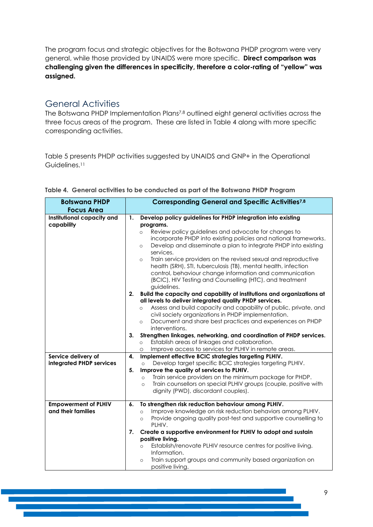The program focus and strategic objectives for the Botswana PHDP program were very general, while those provided by UNAIDS were more specific. **Direct comparison was challenging given the differences in specificity, therefore a color-rating of "yellow" was assigned.**

### <span id="page-8-0"></span>General Activities

The Botswana PHDP Implementation Plans7,8 outlined eight general activities across the three focus areas of the program. These are listed in [Table 4](#page-8-1) along with more specific corresponding activities.

[Table 5](#page-9-1) presents PHDP activities suggested by UNAIDS and GNP+ in the Operational Guidelines.<sup>11</sup>

| <b>Botswana PHDP</b>                              | <b>Corresponding General and Specific Activities7.8</b>                                                                                                                                                                                                                                                                                                                                                                                                                                                                                                                                                                                                                                                                                                                                                                                                                                            |  |  |
|---------------------------------------------------|----------------------------------------------------------------------------------------------------------------------------------------------------------------------------------------------------------------------------------------------------------------------------------------------------------------------------------------------------------------------------------------------------------------------------------------------------------------------------------------------------------------------------------------------------------------------------------------------------------------------------------------------------------------------------------------------------------------------------------------------------------------------------------------------------------------------------------------------------------------------------------------------------|--|--|
| <b>Focus Area</b>                                 |                                                                                                                                                                                                                                                                                                                                                                                                                                                                                                                                                                                                                                                                                                                                                                                                                                                                                                    |  |  |
| Institutional capacity and<br>capability          | Develop policy guidelines for PHDP integration into existing<br>$\mathbf{1}$ .<br>programs.<br>Review policy guidelines and advocate for changes to<br>$\circ$<br>incorporate PHDP into existing policies and national frameworks.<br>Develop and disseminate a plan to integrate PHDP into existing<br>$\circ$<br>services.<br>Train service providers on the revised sexual and reproductive<br>$\circ$<br>health (SRH), STI, tuberculosis (TB), mental health, infection<br>control, behaviour change information and communication<br>(BCIC), HIV Testing and Counselling (HTC), and treatment<br>guidelines.<br>Build the capacity and capability of institutions and organizations at<br>2.<br>all levels to deliver integrated quality PHDP services.<br>Assess and build capacity and capability of public, private, and<br>$\circ$<br>civil society organizations in PHDP implementation. |  |  |
|                                                   | Document and share best practices and experiences on PHDP<br>$\circ$<br>interventions.<br>Strengthen linkages, networking, and coordination of PHDP services.<br>3.<br>Establish areas of linkages and collaboration.<br>$\circ$<br>Improve access to services for PLHIV in remote areas.                                                                                                                                                                                                                                                                                                                                                                                                                                                                                                                                                                                                          |  |  |
| Service delivery of<br>integrated PHDP services   | Implement effective BCIC strategies targeting PLHIV.<br>4.<br>Develop target specific BCIC strategies targeting PLHIV.<br>$\circ$<br>Improve the quality of services to PLHIV.<br>5.<br>Train service providers on the minimum package for PHDP.<br>$\circ$<br>Train counsellors on special PLHIV groups (couple, positive with<br>$\circ$<br>dignity (PWD), discordant couples).                                                                                                                                                                                                                                                                                                                                                                                                                                                                                                                  |  |  |
| <b>Empowerment of PLHIV</b><br>and their families | To strengthen risk reduction behaviour among PLHIV.<br>6.<br>Improve knowledge on risk reduction behaviors among PLHIV.<br>$\circ$<br>Provide ongoing quality post-test and supportive counselling to<br>$\circ$<br>PLHIV.<br>Create a supportive environment for PLHIV to adopt and sustain<br>7.<br>positive living.<br>Establish/renovate PLHIV resource centres for positive living.<br>$\circ$<br>Information.<br>Train support groups and community based organization on<br>$\circ$<br>positive living.                                                                                                                                                                                                                                                                                                                                                                                     |  |  |

<span id="page-8-1"></span>

|  | Table 4.  General activities to be conducted as part of the Botswana PHDP Program |  |  |  |  |
|--|-----------------------------------------------------------------------------------|--|--|--|--|
|  |                                                                                   |  |  |  |  |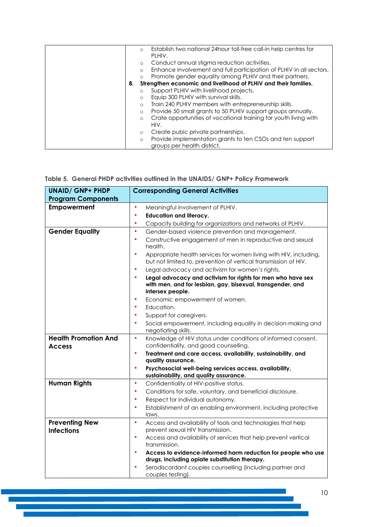| $\circ$   | Establish two national 24 hour toll-free call-in help centres for   |
|-----------|---------------------------------------------------------------------|
|           | PLHIV.                                                              |
| $\circ$   | Conduct annual stigma reduction activities.                         |
| $\circ$   | Enhance involvement and full participation of PLHIV in all sectors. |
| $\bigcap$ | Promote gender equality among PLHIV and their partners.             |
| 8.        | Strengthen economic and livelihood of PLHIV and their families.     |
| $\Omega$  | Support PLHIV with livelihood projects.                             |
| $\circ$   | Equip 300 PLHIV with survival skills.                               |
| $\circ$   | Train 240 PLHIV members with entrepreneurship skills.               |
| $\circ$   | Provide 50 small grants to 50 PLHIV support groups annually.        |
| $\circ$   | Crate opportunities of vocational training for youth living with    |
|           | HIV.                                                                |
| $\circ$   | Create pubic private partnerships.                                  |
| $\circ$   | Provide implementation grants to ten CSOs and ten support           |
|           | groups per health district.                                         |

### <span id="page-9-1"></span><span id="page-9-0"></span>**Table 5. General PHDP activities outlined in the UNAIDS/ GNP+ Policy Framework**

| <b>UNAID/ GNP+ PHDP</b>                      | <b>Corresponding General Activities</b>                                                                                                                    |  |  |  |
|----------------------------------------------|------------------------------------------------------------------------------------------------------------------------------------------------------------|--|--|--|
| <b>Program Components</b>                    |                                                                                                                                                            |  |  |  |
| <b>Empowerment</b>                           | $\bullet$<br>Meaningful involvement of PLHIV.                                                                                                              |  |  |  |
|                                              | <b>Education and literacy.</b><br>٠                                                                                                                        |  |  |  |
|                                              | ٠<br>Capacity building for organizations and networks of PLHIV.                                                                                            |  |  |  |
| <b>Gender Equality</b>                       | $\bullet$<br>Gender-based violence prevention and management.                                                                                              |  |  |  |
|                                              | Constructive engagement of men in reproductive and sexual<br>٠<br>health.                                                                                  |  |  |  |
|                                              | $\bullet$<br>Appropriate health services for women living with HIV, including,<br>but not limited to, prevention of vertical transmission of HIV.          |  |  |  |
|                                              | ٠<br>Legal advocacy and activism for women's rights.                                                                                                       |  |  |  |
|                                              | $\bullet$<br>Legal advocacy and activism for rights for men who have sex<br>with men, and for lesbian, gay, bisexual, transgender, and<br>intersex people. |  |  |  |
|                                              | Economic empowerment of women.<br>٠                                                                                                                        |  |  |  |
|                                              | Education.<br>$\bullet$                                                                                                                                    |  |  |  |
|                                              | Support for caregivers.<br>٠                                                                                                                               |  |  |  |
|                                              | $\bullet$<br>Social empowerment, including equality in decision-making and<br>negotiating skills.                                                          |  |  |  |
| <b>Health Promotion And</b><br><b>Access</b> | Knowledge of HIV status under conditions of informed consent,<br>$\bullet$<br>confidentiality, and good counselling.                                       |  |  |  |
|                                              | $\bullet$<br>Treatment and care access, availability, sustainability, and                                                                                  |  |  |  |
|                                              | quality assurance.                                                                                                                                         |  |  |  |
|                                              | $\bullet$<br>Psychosocial well-being services access, availability,                                                                                        |  |  |  |
|                                              | sustainability, and quality assurance.                                                                                                                     |  |  |  |
| <b>Human Rights</b>                          | Confidentiality of HIV-positive status.<br>٠                                                                                                               |  |  |  |
|                                              | Conditions for safe, voluntary, and beneficial disclosure.<br>٠                                                                                            |  |  |  |
|                                              | Respect for individual autonomy.<br>٠                                                                                                                      |  |  |  |
|                                              | Establishment of an enabling environment, including protective<br>$\bullet$<br>laws.                                                                       |  |  |  |
| <b>Preventing New</b><br><b>Infections</b>   | $\bullet$<br>Access and availability of tools and technologies that help<br>prevent sexual HIV transmission.                                               |  |  |  |
|                                              | $\bullet$<br>Access and availability of services that help prevent vertical<br>transmission.                                                               |  |  |  |
|                                              | ٠<br>Access to evidence-informed harm reduction for people who use<br>drugs, including opiate substitution therapy.                                        |  |  |  |
|                                              | Serodiscordant couples counselling (including partner and<br>couples testing).                                                                             |  |  |  |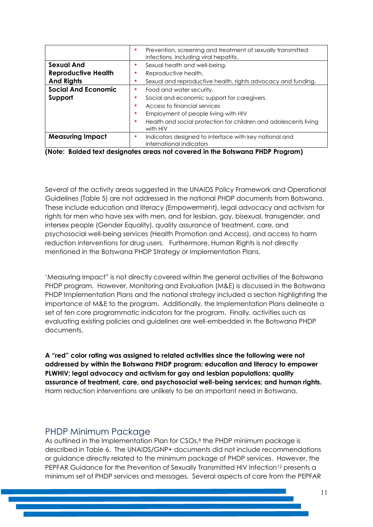|                            | Prevention, screening and treatment of sexually transmitted<br>infections, including viral hepatitis. |
|----------------------------|-------------------------------------------------------------------------------------------------------|
| <b>Sexual And</b>          | Sexual health and well-being.                                                                         |
| <b>Reproductive Health</b> | Reproductive health.                                                                                  |
| <b>And Rights</b>          | Sexual and reproductive health, rights advocacy and funding.                                          |
| <b>Social And Economic</b> | Food and water security.                                                                              |
| Support                    | Social and economic support for caregivers.                                                           |
|                            | Access to financial services                                                                          |
|                            | Employment of people living with HIV                                                                  |
|                            | Health and social protection for children and adolescents living<br>with HIV                          |
| <b>Measuring Impact</b>    | Indicators designed to interface with key national and<br>international indicators                    |

**(Note: Bolded text designates areas not covered in the Botswana PHDP Program)**

Several of the activity areas suggested in the UNAIDS Policy Framework and Operational Guidelines [\(Table 5\)](#page-9-0) are not addressed in the national PHDP documents from Botswana. These include education and literacy (Empowerment), legal advocacy and activism for rights for men who have sex with men, and for lesbian, gay, bisexual, transgender, and intersex people (Gender Equality), quality assurance of treatment, care, and psychosocial well-being services (Health Promotion and Access), and access to harm reduction interventions for drug users. Furthermore, Human Rights is not directly mentioned in the Botswana PHDP Strategy or Implementation Plans.

'Measuring Impact" is not directly covered within the general activities of the Botswana PHDP program. However, Monitoring and Evaluation (M&E) is discussed in the Botswana PHDP Implementation Plans and the national strategy included a section highlighting the importance of M&E to the program. Additionally, the Implementation Plans delineate a set of ten core programmatic indicators for the program. Finally, activities such as evaluating existing policies and guidelines are well-embedded in the Botswana PHDP documents.

**A "red" color rating was assigned to related activities since the following were not addressed by within the Botswana PHDP program: education and literacy to empower PLWHIV; legal advocacy and activism for gay and lesbian populations; quality assurance of treatment, care, and psychosocial well-being services; and human rights.**  Harm reduction interventions are unlikely to be an important need in Botswana.

### <span id="page-10-0"></span>PHDP Minimum Package

As outlined in the Implementation Plan for CSOs, <sup>8</sup> the PHDP minimum package is described in [Table 6.](#page-11-0) The UNAIDS/GNP+ documents did not include recommendations or guidance directly related to the minimum package of PHDP services. However, the PEPFAR Guidance for the Prevention of Sexually Transmitted HIV Infection<sup>12</sup> presents a minimum set of PHDP services and messages. Several aspects of care from the PEPFAR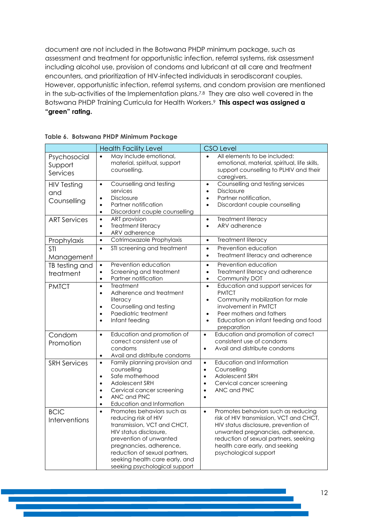document are not included in the Botswana PHDP minimum package, such as assessment and treatment for opportunistic infection, referral systems, risk assessment including alcohol use, provision of condoms and lubricant at all care and treatment encounters, and prioritization of HIV-infected individuals in serodiscorant couples. However, opportunistic infection, referral systems, and condom provision are mentioned in the sub-activities of the Implementation plans.7,8 They are also well covered in the Botswana PHDP Training Curricula for Health Workers.<sup>9</sup> **This aspect was assigned a "green" rating.**

|                                          | <b>Health Facility Level</b>                                                                                                                                                                                                                                                      | <b>CSO Level</b>                                                                                                                                                                                                                                                            |
|------------------------------------------|-----------------------------------------------------------------------------------------------------------------------------------------------------------------------------------------------------------------------------------------------------------------------------------|-----------------------------------------------------------------------------------------------------------------------------------------------------------------------------------------------------------------------------------------------------------------------------|
| Psychosocial<br>Support<br>Services      | May include emotional,<br>material, spiritual, support<br>counselling.                                                                                                                                                                                                            | All elements to be included:<br>emotional, material, spiritual, life skills,<br>support counselling to PLHIV and their<br>caregivers.                                                                                                                                       |
| <b>HIV Testing</b><br>and<br>Counselling | Counselling and testing<br>$\bullet$<br>services<br><b>Disclosure</b><br>$\bullet$<br>Partner notification<br>$\bullet$<br>Discordant couple counselling<br>$\bullet$                                                                                                             | Counselling and testing services<br>$\bullet$<br><b>Disclosure</b><br>$\bullet$<br>Partner notification,<br>$\bullet$<br>Discordant couple counselling<br>$\bullet$                                                                                                         |
| <b>ART Services</b>                      | <b>ART</b> provision<br>$\bullet$<br>Treatment literacy<br>$\bullet$<br>ARV adherence<br>$\bullet$                                                                                                                                                                                | Treatment literacy<br>$\bullet$<br>ARV adherence<br>$\bullet$                                                                                                                                                                                                               |
| Prophylaxis                              | Cotrimoxazole Prophylaxis<br>$\bullet$                                                                                                                                                                                                                                            | Treatment literacy<br>$\bullet$                                                                                                                                                                                                                                             |
| <b>STI</b><br>Management                 | STI screening and treatment<br>$\bullet$                                                                                                                                                                                                                                          | Prevention education<br>$\bullet$<br>Treatment literacy and adherence<br>$\bullet$                                                                                                                                                                                          |
| TB testing and<br>treatment              | Prevention education<br>$\bullet$<br>Screening and treatment<br>$\bullet$<br>Partner notification<br>$\bullet$                                                                                                                                                                    | Prevention education<br>$\bullet$<br>Treatment literacy and adherence<br>$\bullet$<br>Community DOT<br>$\bullet$                                                                                                                                                            |
| <b>PMTCT</b>                             | Treatment<br>$\bullet$<br>Adherence and treatment<br>$\bullet$<br>literacy<br>Counselling and testing<br>$\bullet$<br>Paediatric treatment<br>$\bullet$<br>Infant feeding<br>$\bullet$                                                                                            | Education and support services for<br>$\bullet$<br><b>PMTCT</b><br>Community mobilization for male<br>$\bullet$<br>involvement in PMTCT<br>Peer mothers and fathers<br>$\bullet$<br>Education on infant feeding and food<br>$\bullet$<br>preparation                        |
| Condom<br>Promotion                      | Education and promotion of<br>$\bullet$<br>correct consistent use of<br>condoms<br>Avail and distribute condoms<br>$\bullet$                                                                                                                                                      | Education and promotion of correct<br>$\bullet$<br>consistent use of condoms<br>Avail and distribute condoms<br>$\bullet$                                                                                                                                                   |
| <b>SRH Services</b>                      | Family planning provision and<br>$\bullet$<br>counselling<br>Safe motherhood<br>$\bullet$<br><b>Adolescent SRH</b><br>$\bullet$<br>Cervical cancer screening<br>$\bullet$<br>ANC and PNC<br>$\bullet$<br>Education and Information<br>$\bullet$                                   | Education and Information<br>$\bullet$<br>Counselling<br>$\bullet$<br>Adolescent SRH<br>$\bullet$<br>Cervical cancer screening<br>$\bullet$<br>ANC and PNC<br>$\bullet$                                                                                                     |
| <b>BCIC</b><br>Interventions             | Promotes behaviors such as<br>$\bullet$<br>reducing risk of HIV<br>transmission, VCT and CHCT,<br>HIV status disclosure,<br>prevention of unwanted<br>pregnancies, adherence,<br>reduction of sexual partners,<br>seeking health care early, and<br>seeking psychological support | Promotes behaviors such as reducing<br>$\bullet$<br>risk of HIV transmission, VCT and CHCT,<br>HIV status disclosure, prevention of<br>unwanted pregnancies, adherence,<br>reduction of sexual partners, seeking<br>health care early, and seeking<br>psychological support |

<span id="page-11-0"></span>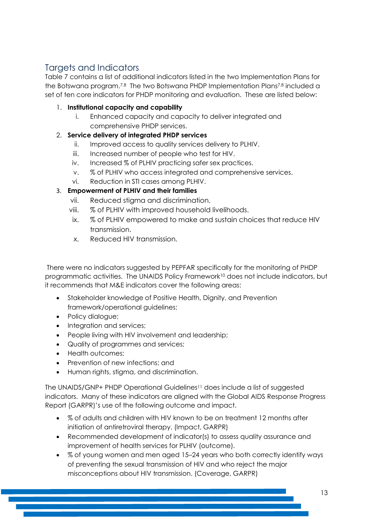### <span id="page-12-0"></span>Targets and Indicators

[Table 7](#page-15-0) contains a list of additional indicators listed in the two Implementation Plans for the Botswana program.7,8 The two Botswana PHDP Implementation Plans7,8 included a set of ten core indicators for PHDP monitoring and evaluation. These are listed below:

- 1. **Institutional capacity and capability**
	- i. Enhanced capacity and capacity to deliver integrated and comprehensive PHDP services.

### 2. **Service delivery of integrated PHDP services**

- ii. Improved access to quality services delivery to PLHIV.
- iii. Increased number of people who test for HIV.
- iv. Increased % of PLHIV practicing safer sex practices.
- v. % of PLHIV who access integrated and comprehensive services.
- vi. Reduction in STI cases among PLHIV.

### 3. **Empowerment of PLHIV and their families**

- vii. Reduced stigma and discrimination.
- viii. % of PLHIV with improved household livelihoods.
- ix. % of PLHIV empowered to make and sustain choices that reduce HIV transmission.
- x. Reduced HIV transmission.

There were no indicators suggested by PEPFAR specifically for the monitoring of PHDP programmatic activities. The UNAIDS Policy Framework<sup>10</sup> does not include indicators, but it recommends that M&E indicators cover the following areas:

- Stakeholder knowledge of Positive Health, Dignity, and Prevention framework/operational guidelines;
- Policy dialogue;
- Integration and services;
- People living with HIV involvement and leadership;
- Quality of programmes and services;
- Health outcomes:
- Prevention of new infections; and
- Human rights, stigma, and discrimination.

The UNAIDS/GNP+ PHDP Operational Guidelines<sup>11</sup> does include a list of suggested indicators. Many of these indicators are aligned with the Global AIDS Response Progress Report (GARPR)'s use of the following outcome and impact.

- % of adults and children with HIV known to be on treatment 12 months after initiation of antiretroviral therapy. (Impact, GARPR)
- Recommended development of indicator(s) to assess quality assurance and improvement of health services for PLHIV (outcome).
- % of young women and men aged 15–24 years who both correctly identify ways of preventing the sexual transmission of HIV and who reject the major misconceptions about HIV transmission. (Coverage, GARPR)

13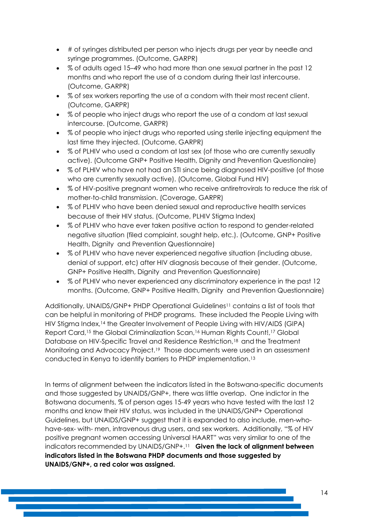- # of syringes distributed per person who injects drugs per year by needle and syringe programmes. (Outcome, GARPR)
- % of adults aged 15–49 who had more than one sexual partner in the past 12 months and who report the use of a condom during their last intercourse. (Outcome, GARPR)
- % of sex workers reporting the use of a condom with their most recent client. (Outcome, GARPR)
- % of people who inject drugs who report the use of a condom at last sexual intercourse. (Outcome, GARPR)
- % of people who inject drugs who reported using sterile injecting equipment the last time they injected. (Outcome, GARPR)
- % of PLHIV who used a condom at last sex (of those who are currently sexually active). (Outcome GNP+ Positive Health, Dignity and Prevention Questionaire)
- % of PLHIV who have not had an STI since being diagnosed HIV-positive (of those who are currently sexually active). (Outcome, Global Fund HIV)
- % of HIV-positive pregnant women who receive antiretrovirals to reduce the risk of mother-to-child transmission. (Coverage, GARPR)
- % of PLHIV who have been denied sexual and reproductive health services because of their HIV status. (Outcome, PLHIV Stigma Index)
- % of PLHIV who have ever taken positive action to respond to gender-related negative situation (filed complaint, sought help, etc.). (Outcome, GNP+ Positive Health, Dignity and Prevention Questionnaire)
- % of PLHIV who have never experienced negative situation (including abuse, denial of support, etc) after HIV diagnosis because of their gender. (Outcome, GNP+ Positive Health, Dignity and Prevention Questionnaire)
- % of PLHIV who never experienced any discriminatory experience in the past 12 months. (Outcome, GNP+ Positive Health, Dignity and Prevention Questionnaire)

Additionally, UNAIDS/GNP+ PHDP Operational Guidelines<sup>11</sup> contains a list of tools that can be helpful in monitoring of PHDP programs. These included the People Living with HIV Stigma Index,<sup>14</sup> the Greater Involvement of People Living with HIV/AIDS (GIPA) Report Card,<sup>15</sup> the Global Criminalization Scan,<sup>16</sup> Human Rights Count!,<sup>17</sup> Global Database on HIV-Specific Travel and Residence Restriction,<sup>18</sup> and the Treatment Monitoring and Advocacy Project.19 Those documents were used in an assessment conducted in Kenya to identify barriers to PHDP implementation.<sup>13</sup>

In terms of alignment between the indicators listed in the Botswana-specific documents and those suggested by UNAIDS/GNP+, there was little overlap. One indictor in the Botswana documents, % of person ages 15-49 years who have tested with the last 12 months and know their HIV status, was included in the UNAIDS/GNP+ Operational Guidelines, but UNAIDS/GNP+ suggest that it is expanded to also include, men-whohave-sex- with- men, intravenous drug users, and sex workers. Additionally, "% of HIV positive pregnant women accessing Universal HAART" was very similar to one of the indicators recommended by UNAIDS/GNP+.<sup>11</sup> **Given the lack of alignment between indicators listed in the Botswana PHDP documents and those suggested by UNAIDS/GNP+, a red color was assigned.**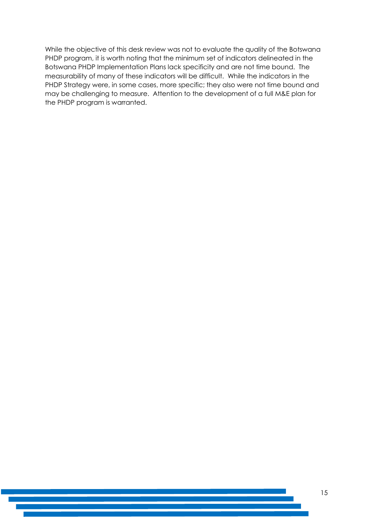While the objective of this desk review was not to evaluate the quality of the Botswana PHDP program, it is worth noting that the minimum set of indicators delineated in the Botswana PHDP Implementation Plans lack specificity and are not time bound. The measurability of many of these indicators will be difficult. While the indicators in the PHDP Strategy were, in some cases, more specific; they also were not time bound and may be challenging to measure. Attention to the development of a full M&E plan for the PHDP program is warranted.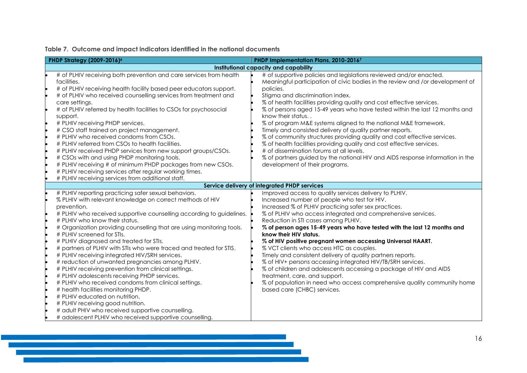|  |  |  |  |  |  |  | Table 7. Outcome and impact indicators identified in the national documents |
|--|--|--|--|--|--|--|-----------------------------------------------------------------------------|
|--|--|--|--|--|--|--|-----------------------------------------------------------------------------|

<span id="page-15-0"></span>

| PHDP Strategy (2009-2016) <sup>6</sup>                                                                                                                                                                                                                                                                                                                                                                                                                                                                                                                                                                                                                                                                                                                                                                                                                                                                                                                                   | PHDP Implementation Plans, 2010-20167                                                                                                                                                                                                                                                                                                                                                                                                                                                                                                                                                                                                                                                                                                                                                                                                 |
|--------------------------------------------------------------------------------------------------------------------------------------------------------------------------------------------------------------------------------------------------------------------------------------------------------------------------------------------------------------------------------------------------------------------------------------------------------------------------------------------------------------------------------------------------------------------------------------------------------------------------------------------------------------------------------------------------------------------------------------------------------------------------------------------------------------------------------------------------------------------------------------------------------------------------------------------------------------------------|---------------------------------------------------------------------------------------------------------------------------------------------------------------------------------------------------------------------------------------------------------------------------------------------------------------------------------------------------------------------------------------------------------------------------------------------------------------------------------------------------------------------------------------------------------------------------------------------------------------------------------------------------------------------------------------------------------------------------------------------------------------------------------------------------------------------------------------|
|                                                                                                                                                                                                                                                                                                                                                                                                                                                                                                                                                                                                                                                                                                                                                                                                                                                                                                                                                                          | Institutional capacity and capability                                                                                                                                                                                                                                                                                                                                                                                                                                                                                                                                                                                                                                                                                                                                                                                                 |
| # of PLHIV receiving both prevention and care services from health<br>facilities.<br># of PLHIV receiving health facility based peer educators support.<br># of PLHIV who received counselling services from treatment and<br>care settings.<br># of PLHIV referred by health facilities to CSOs for psychosocial<br>support.<br># PLHIV receiving PHDP services.<br># CSO staff trained on project management.<br># PLHIV who received condoms from CSOs.<br># PLHIV referred from CSOs to health facilities.<br># PLHIV received PHDP services from new support groups/CSOs.<br># CSOs with and using PHDP monitoring tools.<br># PLHIV receiving # of minimum PHDP packages from new CSOs.<br># PLHIV receiving services after regular working times.<br># PLHIV receiving services from additional staff.                                                                                                                                                            | # of supportive policies and legislations reviewed and/or enacted.<br>Meaningful participation of civic bodies in the review and /or development of<br>policies.<br>Stigma and discrimination index.<br>% of health facilities providing quality and cost effective services.<br>% of persons aged 15-49 years who have tested within the last 12 months and<br>know their status<br>% of program M&E systems aligned to the national M&E framework.<br>Timely and consisted delivery of quality partner reports.<br>% of community structures providing quality and cost effective services.<br>% of health facilities providing quality and cost effective services.<br># of dissemination forums at all levels.<br>% of partners guided by the national HIV and AIDS response information in the<br>development of their programs. |
|                                                                                                                                                                                                                                                                                                                                                                                                                                                                                                                                                                                                                                                                                                                                                                                                                                                                                                                                                                          | Service delivery of integrated PHDP services                                                                                                                                                                                                                                                                                                                                                                                                                                                                                                                                                                                                                                                                                                                                                                                          |
| # PLHIV reporting practicing safer sexual behaviors.<br>% PLHIV with relevant knowledge on correct methods of HIV<br>prevention.<br># PLHIV who received supportive counselling according to guidelines.<br># PLHIV who know their status.<br># Organization providing counselling that are using monitoring tools.<br># PLHIV screened for STIs.<br># PLHIV diagnosed and treated for STIs.<br># partners of PLHIV with STIs who were traced and treated for STIS.<br># PLHIV receiving integrated HIV/SRH services.<br># reduction of unwanted pregnancies among PLHIV.<br># PLHIV receiving prevention from clinical settings.<br># PLHIV adolescents receiving PHDP services.<br># PLHIV who received condoms from clinical settings.<br># health facilities monitoring PHDP.<br># PLHIV educated on nutrition.<br># PLHIV receiving good nutrition.<br># adult PHIV who received supportive counselling.<br># adolescent PLHIV who received supportive counselling. | Improved access to quality services delivery to PLHIV.<br>Increased number of people who test for HIV.<br>Increased % of PLHIV practicing safer sex practices.<br>% of PLHIV who access integrated and comprehensive services.<br>Reduction in STI cases among PLHIV.<br>% of person ages 15-49 years who have tested with the last 12 months and<br>know their HIV status.<br>% of HIV positive pregnant women accessing Universal HAART.<br>% VCT clients who access HTC as couples.<br>Timely and consistent delivery of quality partners reports.<br>% of HIV+ persons accessing integrated HIV/TB/SRH services.<br>% of children and adolescents accessing a package of HIV and AIDS<br>treatment, care, and support.<br>% of population in need who access comprehensive quality community home<br>based care (CHBC) services.  |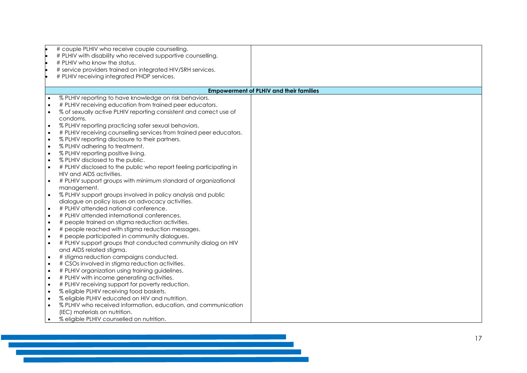|           | # couple PLHIV who receive couple counselling.                      |                                                |
|-----------|---------------------------------------------------------------------|------------------------------------------------|
|           | # PLHIV with disability who received supportive counselling.        |                                                |
|           | # PLHIV who know the status.                                        |                                                |
|           | # service providers trained on integrated HIV/SRH services.         |                                                |
|           | # PLHIV receiving integrated PHDP services.                         |                                                |
|           |                                                                     |                                                |
|           |                                                                     | <b>Empowerment of PLHIV and their families</b> |
| $\bullet$ | % PLHIV reporting to have knowledge on risk behaviors.              |                                                |
|           | # PLHIV receiving education from trained peer educators.            |                                                |
| $\bullet$ | % of sexually active PLHIV reporting consistent and correct use of  |                                                |
|           | condoms.                                                            |                                                |
| $\bullet$ | % PLHIV reporting practicing safer sexual behaviors.                |                                                |
| $\bullet$ | # PLHIV receiving counselling services from trained peer educators. |                                                |
| $\bullet$ | % PLHIV reporting disclosure to their partners.                     |                                                |
| $\bullet$ | % PLHIV adhering to treatment.                                      |                                                |
| $\bullet$ | % PLHIV reporting positive living.                                  |                                                |
| $\bullet$ | % PLHIV disclosed to the public.                                    |                                                |
| $\bullet$ | # PLHIV disclosed to the public who report feeling participating in |                                                |
|           | HIV and AIDS activities.                                            |                                                |
| $\bullet$ | # PLHIV support groups with minimum standard of organizational      |                                                |
|           | management.                                                         |                                                |
| $\bullet$ | % PLHIV support groups involved in policy analysis and public       |                                                |
|           | dialogue on policy issues on advocacy activities.                   |                                                |
| $\bullet$ | # PLHIV attended national conference.                               |                                                |
| $\bullet$ | # PLHIV attended international conferences.                         |                                                |
| $\bullet$ | # people trained on stigma reduction activities.                    |                                                |
| $\bullet$ | # people reached with stigma reduction messages.                    |                                                |
| $\bullet$ | # people participated in community dialogues.                       |                                                |
|           | # PLHIV support groups that conducted community dialog on HIV       |                                                |
|           | and AIDS related stigma.                                            |                                                |
| $\bullet$ | # stigma reduction campaigns conducted.                             |                                                |
| $\bullet$ | # CSOs involved in stigma reduction activities.                     |                                                |
| $\bullet$ | # PLHIV organization using training guidelines.                     |                                                |
| $\bullet$ | # PLHIV with income generating activities.                          |                                                |
| $\bullet$ | # PLHIV receiving support for poverty reduction.                    |                                                |
| $\bullet$ | % eligible PLHIV receiving food baskets.                            |                                                |
| $\bullet$ | % eligible PLHIV educated on HIV and nutrition.                     |                                                |
| $\bullet$ | % PLHIV who received information, education, and communication      |                                                |
|           | (IEC) materials on nutrition.                                       |                                                |
|           | % eligible PLHIV counselled on nutrition.                           |                                                |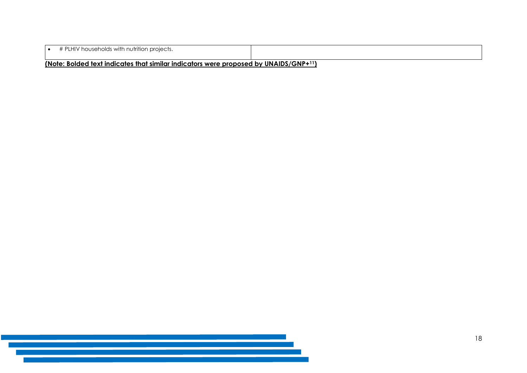| # PLHIV households with nutrition projects.                                          |  |  |  |
|--------------------------------------------------------------------------------------|--|--|--|
| (Note: Bolded text indicates that similar indicators were proposed by UNAIDS/GNP+11) |  |  |  |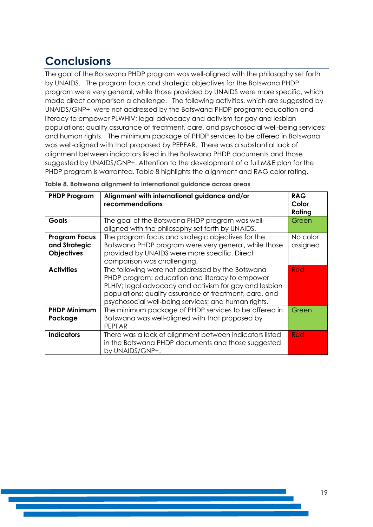## <span id="page-18-0"></span>**Conclusions**

The goal of the Botswana PHDP program was well-aligned with the philosophy set forth by UNAIDS. The program focus and strategic objectives for the Botswana PHDP program were very general, while those provided by UNAIDS were more specific, which made direct comparison a challenge. The following activities, which are suggested by UNAIDS/GNP+, were not addressed by the Botswana PHDP program: education and literacy to empower PLWHIV; legal advocacy and activism for gay and lesbian populations; quality assurance of treatment, care, and psychosocial well-being services; and human rights. The minimum package of PHDP services to be offered in Botswana was well-aligned with that proposed by PEPFAR. There was a substantial lack of alignment between indicators listed in the Botswana PHDP documents and those suggested by UNAIDS/GNP+. Attention to the development of a full M&E plan for the PHDP program is warranted. Table 8 highlights the alignment and RAG color rating.

| <b>PHDP Program</b>                                        | Alignment with international guidance and/or<br>recommendations                                                                                                                                                                                                                | <b>RAG</b><br>Color<br>Rating |
|------------------------------------------------------------|--------------------------------------------------------------------------------------------------------------------------------------------------------------------------------------------------------------------------------------------------------------------------------|-------------------------------|
| Goals                                                      | The goal of the Botswana PHDP program was well-<br>aligned with the philosophy set forth by UNAIDS.                                                                                                                                                                            | Green                         |
| <b>Program Focus</b><br>and Strategic<br><b>Objectives</b> | The program focus and strategic objectives for the<br>Botswana PHDP program were very general, while those<br>provided by UNAIDS were more specific. Direct<br>comparison was challenging.                                                                                     | No color<br>assigned          |
| <b>Activities</b>                                          | The following were not addressed by the Botswana<br>PHDP program: education and literacy to empower<br>PLHIV; legal advocacy and activism for gay and lesbian<br>populations; quality assurance of treatment, care, and<br>psychosocial well-being services; and human rights. | <b>Red</b>                    |
| <b>PHDP Minimum</b><br>Package                             | The minimum package of PHDP services to be offered in<br>Botswana was well-aligned with that proposed by<br><b>PEPFAR</b>                                                                                                                                                      | Green                         |
| <b>Indicators</b>                                          | There was a lack of alignment between indicators listed<br>in the Botswana PHDP documents and those suggested<br>by UNAIDS/GNP+.                                                                                                                                               | <b>Red</b>                    |

<span id="page-18-1"></span>**Table 8. Botswana alignment to international guidance across areas**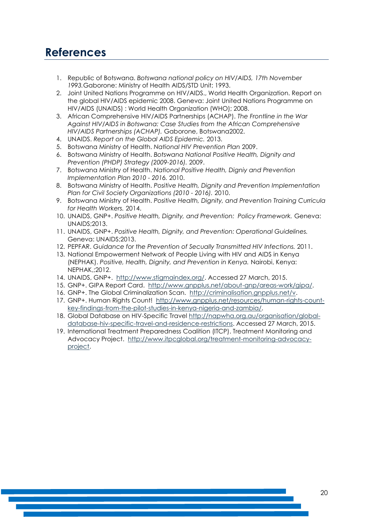### <span id="page-19-0"></span>**References**

- 1. Republic of Botswana. *Botswana national policy on HIV/AIDS, 17th November 1993.*Gaborone: Ministry of Health AIDS/STD Unit; 1993.
- 2. Joint United Nations Programme on HIV/AIDS., World Health Organization. Report on the global HIV/AIDS epidemic 2008. Geneva: Joint United Nations Programme on HIV/AIDS (UNAIDS) : World Health Organization (WHO); 2008.
- 3. African Comprehensive HIV/AIDS Partnerships (ACHAP). *The Frontline in the War Against HIV/AIDS in Botswana: Case Studies from the African Comprehensive HIV/AIDS Partnerships (ACHAP).* Gaborone, Botswana2002.
- 4. UNAIDS. *Report on the Global AIDS Epidemic.* 2013.
- 5. Botswana Ministry of Health. *National HIV Prevention Plan* 2009.
- 6. Botswana Ministry of Health. *Botswana National Positive Health, Dignity and Prevention (PHDP) Strategy (2009-2016).* 2009.
- 7. Botswana Ministry of Health. *National Positive Health, Digniy and Prevention Implementation Plan 2010 - 2016.* 2010.
- 8. Botswana Ministry of Health. *Positive Health, Dignity and Prevention Implementation Plan for Civil Society Organizations (2010 - 2016).* 2010.
- 9. Botswana Ministry of Health. *Positive Health, Dignity, and Prevention Training Curricula for Health Workers.* 2014.
- 10. UNAIDS, GNP+. *Positive Health, Dignity, and Prevention: Policy Framework.* Geneva: UNAIDS;2013.
- 11. UNAIDS, GNP+. *Positive Health, Dignity, and Prevention: Operational Guidelines.*  Geneva: UNAIDS;2013.
- 12. PEPFAR. *Guidance for the Prevention of Secually Transmitted HIV Infections.* 2011.
- 13. National Empowerment Network of People Living with HIV and AIDS in Kenya (NEPHAK). *Positive, Health, Dignity, and Prevention in Kenya.* Nairobi, Kenya: NEPHAK,;2012.
- 14. UNAIDS, GNP+. [http://www.stigmaindex.org/.](http://www.stigmaindex.org/) Accessed 27 March, 2015.
- 15. GNP+. GIPA Report Card. [http://www.gnpplus.net/about-gnp/areas-work/gipa/.](http://www.gnpplus.net/about-gnp/areas-work/gipa/)
- 16. GNP+. The Global Criminalization Scan. [http://criminalisation.gnpplus.net/v.](http://criminalisation.gnpplus.net/v)
- 17. GNP+. Human Rights Count! [http://www.gnpplus.net/resources/human-rights-count](http://www.gnpplus.net/resources/human-rights-count-key-findings-from-the-pilot-studies-in-kenya-nigeria-and-zambia/)[key-findings-from-the-pilot-studies-in-kenya-nigeria-and-zambia/.](http://www.gnpplus.net/resources/human-rights-count-key-findings-from-the-pilot-studies-in-kenya-nigeria-and-zambia/)
- 18. Global Database on HIV-Specific Travel [http://napwha.org.au/organisation/global](http://napwha.org.au/organisation/global-database-hiv-specific-travel-and-residence-restrictions)[database-hiv-specific-travel-and-residence-restrictions.](http://napwha.org.au/organisation/global-database-hiv-specific-travel-and-residence-restrictions) Accessed 27 March, 2015.
- 19. International Treatment Preparedness Coalition (ITCP). Treatment Monitoring and Advocacy Project. [http://www.itpcglobal.org/treatment-monitoring-advocacy](http://www.itpcglobal.org/treatment-monitoring-advocacy-project)[project.](http://www.itpcglobal.org/treatment-monitoring-advocacy-project)